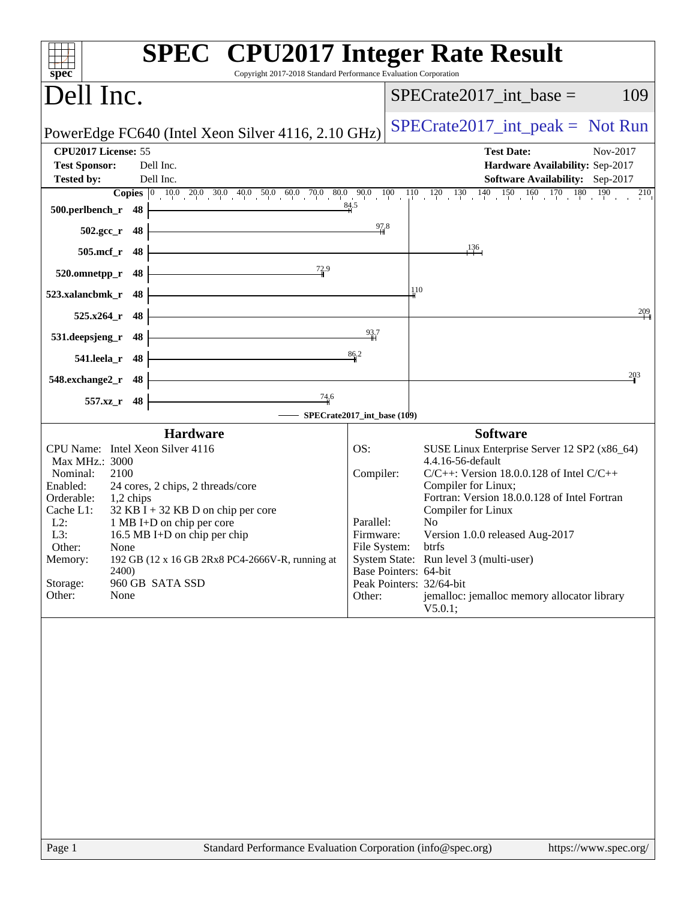| spec®                                                                                                                                                          | <b>SPEC<sup>®</sup></b> CPU2017 Integer Rate Result<br>Copyright 2017-2018 Standard Performance Evaluation Corporation                                                                                                                                                             |                                                                                                     |                                                                                                                                                                                                                                                                                                                                                                                                                         |
|----------------------------------------------------------------------------------------------------------------------------------------------------------------|------------------------------------------------------------------------------------------------------------------------------------------------------------------------------------------------------------------------------------------------------------------------------------|-----------------------------------------------------------------------------------------------------|-------------------------------------------------------------------------------------------------------------------------------------------------------------------------------------------------------------------------------------------------------------------------------------------------------------------------------------------------------------------------------------------------------------------------|
| Dell Inc.                                                                                                                                                      |                                                                                                                                                                                                                                                                                    |                                                                                                     | $SPECrate2017\_int\_base =$<br>109                                                                                                                                                                                                                                                                                                                                                                                      |
|                                                                                                                                                                | PowerEdge FC640 (Intel Xeon Silver 4116, 2.10 GHz)                                                                                                                                                                                                                                 |                                                                                                     | $SPECrate2017\_int\_peak = Not Run$                                                                                                                                                                                                                                                                                                                                                                                     |
| CPU2017 License: 55                                                                                                                                            |                                                                                                                                                                                                                                                                                    |                                                                                                     | <b>Test Date:</b><br>Nov-2017                                                                                                                                                                                                                                                                                                                                                                                           |
| <b>Test Sponsor:</b><br><b>Tested by:</b>                                                                                                                      | Dell Inc.<br>Dell Inc.                                                                                                                                                                                                                                                             |                                                                                                     | Hardware Availability: Sep-2017<br><b>Software Availability:</b> Sep-2017                                                                                                                                                                                                                                                                                                                                               |
|                                                                                                                                                                |                                                                                                                                                                                                                                                                                    |                                                                                                     |                                                                                                                                                                                                                                                                                                                                                                                                                         |
| 500.perlbench_r 48                                                                                                                                             |                                                                                                                                                                                                                                                                                    | 84.5                                                                                                |                                                                                                                                                                                                                                                                                                                                                                                                                         |
| $502.\text{gcc}_r$ 48                                                                                                                                          |                                                                                                                                                                                                                                                                                    | 97.8                                                                                                |                                                                                                                                                                                                                                                                                                                                                                                                                         |
| 505.mcf_r 48                                                                                                                                                   | <u> 1989 - Johann Barn, mars eta bainar eta industrial eta industrial eta industrial eta industrial eta industria</u>                                                                                                                                                              |                                                                                                     | 136                                                                                                                                                                                                                                                                                                                                                                                                                     |
| 520.omnetpp_r 48                                                                                                                                               | <u> 1980 - Johann Barnett, fransk politik (</u><br>$\frac{72.9}{9}$                                                                                                                                                                                                                |                                                                                                     |                                                                                                                                                                                                                                                                                                                                                                                                                         |
| 523.xalancbmk_r 48                                                                                                                                             |                                                                                                                                                                                                                                                                                    |                                                                                                     | 110                                                                                                                                                                                                                                                                                                                                                                                                                     |
| $525.x264$ <sub>r</sub> 48                                                                                                                                     |                                                                                                                                                                                                                                                                                    |                                                                                                     | $\frac{209}{4}$                                                                                                                                                                                                                                                                                                                                                                                                         |
| $531.$ deepsjeng_r 48                                                                                                                                          | <u> 1989 - Johann Barn, fransk politik fotograf (d. 1982)</u>                                                                                                                                                                                                                      | 93.7                                                                                                |                                                                                                                                                                                                                                                                                                                                                                                                                         |
| 541.leela_r 48                                                                                                                                                 |                                                                                                                                                                                                                                                                                    | 86.2                                                                                                |                                                                                                                                                                                                                                                                                                                                                                                                                         |
| 548.exchange2_r 48                                                                                                                                             |                                                                                                                                                                                                                                                                                    |                                                                                                     | 203                                                                                                                                                                                                                                                                                                                                                                                                                     |
| 557.xz_r 48                                                                                                                                                    | $\frac{74.6}{4}$                                                                                                                                                                                                                                                                   |                                                                                                     |                                                                                                                                                                                                                                                                                                                                                                                                                         |
|                                                                                                                                                                | SPECrate2017_int_base (109)                                                                                                                                                                                                                                                        |                                                                                                     |                                                                                                                                                                                                                                                                                                                                                                                                                         |
| Max MHz.: 3000<br>Nominal:<br>2100<br>Enabled:<br>Orderable:<br>Cache L1:<br>$L2$ :<br>L3:<br>Other:<br>None<br>Memory:<br>2400)<br>Storage:<br>Other:<br>None | <b>Hardware</b><br>CPU Name: Intel Xeon Silver 4116<br>24 cores, 2 chips, 2 threads/core<br>$1,2$ chips<br>$32$ KB I + 32 KB D on chip per core<br>1 MB I+D on chip per core<br>16.5 MB I+D on chip per chip<br>192 GB (12 x 16 GB 2Rx8 PC4-2666V-R, running at<br>960 GB SATA SSD | OS:<br>Compiler:<br>Parallel:<br>Firmware:<br>File System: btrfs<br>Base Pointers: 64-bit<br>Other: | <b>Software</b><br>SUSE Linux Enterprise Server 12 SP2 (x86_64)<br>4.4.16-56-default<br>$C/C++$ : Version 18.0.0.128 of Intel $C/C++$<br>Compiler for Linux;<br>Fortran: Version 18.0.0.128 of Intel Fortran<br>Compiler for Linux<br>N <sub>o</sub><br>Version 1.0.0 released Aug-2017<br>System State: Run level 3 (multi-user)<br>Peak Pointers: 32/64-bit<br>jemalloc: jemalloc memory allocator library<br>V5.0.1; |
|                                                                                                                                                                |                                                                                                                                                                                                                                                                                    |                                                                                                     |                                                                                                                                                                                                                                                                                                                                                                                                                         |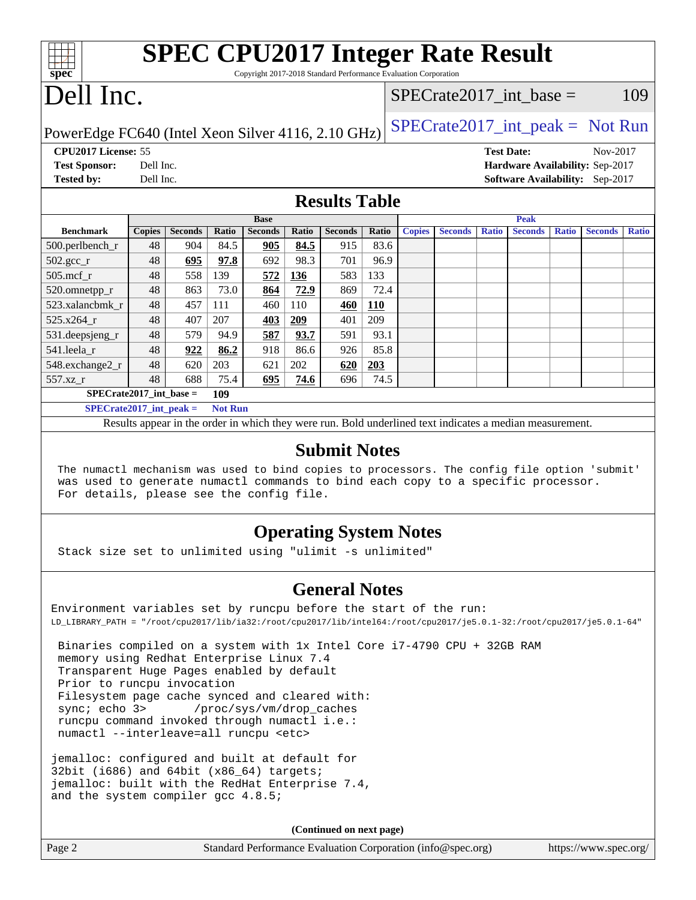| <b>SPEC CPU2017 Integer Rate Result</b><br>Copyright 2017-2018 Standard Performance Evaluation Corporation |                           |  |  |  |  |
|------------------------------------------------------------------------------------------------------------|---------------------------|--|--|--|--|
| $Spec^*$                                                                                                   | SPECrate2017 int base $=$ |  |  |  |  |
| Dell Inc.                                                                                                  | 109                       |  |  |  |  |

PowerEdge FC640 (Intel Xeon Silver 4116, 2.10 GHz)  $\left|$  [SPECrate2017\\_int\\_peak =](http://www.spec.org/auto/cpu2017/Docs/result-fields.html#SPECrate2017intpeak) Not Run

**[CPU2017 License:](http://www.spec.org/auto/cpu2017/Docs/result-fields.html#CPU2017License)** 55 **[Test Date:](http://www.spec.org/auto/cpu2017/Docs/result-fields.html#TestDate)** Nov-2017 **[Test Sponsor:](http://www.spec.org/auto/cpu2017/Docs/result-fields.html#TestSponsor)** Dell Inc. **[Hardware Availability:](http://www.spec.org/auto/cpu2017/Docs/result-fields.html#HardwareAvailability)** Sep-2017

**[Tested by:](http://www.spec.org/auto/cpu2017/Docs/result-fields.html#Testedby)** Dell Inc. **[Software Availability:](http://www.spec.org/auto/cpu2017/Docs/result-fields.html#SoftwareAvailability)** Sep-2017

### **[Results Table](http://www.spec.org/auto/cpu2017/Docs/result-fields.html#ResultsTable)**

|                               | <b>Base</b>   |                |                |                |       | <b>Peak</b>    |            |               |                |              |                |              |                |              |
|-------------------------------|---------------|----------------|----------------|----------------|-------|----------------|------------|---------------|----------------|--------------|----------------|--------------|----------------|--------------|
| <b>Benchmark</b>              | <b>Copies</b> | <b>Seconds</b> | Ratio          | <b>Seconds</b> | Ratio | <b>Seconds</b> | Ratio      | <b>Copies</b> | <b>Seconds</b> | <b>Ratio</b> | <b>Seconds</b> | <b>Ratio</b> | <b>Seconds</b> | <b>Ratio</b> |
| $500.$ perlbench_r            | 48            | 904            | 84.5           | 905            | 84.5  | 915            | 83.6       |               |                |              |                |              |                |              |
| $502.\text{gcc}$ <sub>r</sub> | 48            | 695            | 97.8           | 692            | 98.3  | 701            | 96.9       |               |                |              |                |              |                |              |
| $505$ .mcf r                  | 48            | 558            | 139            | 572            | 136   | 583            | 133        |               |                |              |                |              |                |              |
| 520.omnetpp_r                 | 48            | 863            | 73.0           | 864            | 72.9  | 869            | 72.4       |               |                |              |                |              |                |              |
| 523.xalancbmk r               | 48            | 457            | 111            | 460            | 110   | 460            | <b>110</b> |               |                |              |                |              |                |              |
| $525.x264$ r                  | 48            | 407            | 207            | 403            | 209   | 401            | 209        |               |                |              |                |              |                |              |
| $531.$ deepsjeng $_r$         | 48            | 579            | 94.9           | 587            | 93.7  | 591            | 93.1       |               |                |              |                |              |                |              |
| 541.leela r                   | 48            | 922            | 86.2           | 918            | 86.6  | 926            | 85.8       |               |                |              |                |              |                |              |
| 548.exchange2_r               | 48            | 620            | 203            | 621            | 202   | 620            | 203        |               |                |              |                |              |                |              |
| 557.xz r                      | 48            | 688            | 75.4           | 695            | 74.6  | 696            | 74.5       |               |                |              |                |              |                |              |
| $SPECrate2017$ int base =     |               |                | 109            |                |       |                |            |               |                |              |                |              |                |              |
| $SPECrate2017$ int peak =     |               |                | <b>Not Run</b> |                |       |                |            |               |                |              |                |              |                |              |

Results appear in the [order in which they were run.](http://www.spec.org/auto/cpu2017/Docs/result-fields.html#RunOrder) Bold underlined text [indicates a median measurement.](http://www.spec.org/auto/cpu2017/Docs/result-fields.html#Median)

#### **[Submit Notes](http://www.spec.org/auto/cpu2017/Docs/result-fields.html#SubmitNotes)**

 The numactl mechanism was used to bind copies to processors. The config file option 'submit' was used to generate numactl commands to bind each copy to a specific processor. For details, please see the config file.

### **[Operating System Notes](http://www.spec.org/auto/cpu2017/Docs/result-fields.html#OperatingSystemNotes)**

Stack size set to unlimited using "ulimit -s unlimited"

### **[General Notes](http://www.spec.org/auto/cpu2017/Docs/result-fields.html#GeneralNotes)**

Environment variables set by runcpu before the start of the run: LD\_LIBRARY\_PATH = "/root/cpu2017/lib/ia32:/root/cpu2017/lib/intel64:/root/cpu2017/je5.0.1-32:/root/cpu2017/je5.0.1-64"

 Binaries compiled on a system with 1x Intel Core i7-4790 CPU + 32GB RAM memory using Redhat Enterprise Linux 7.4 Transparent Huge Pages enabled by default Prior to runcpu invocation Filesystem page cache synced and cleared with: sync; echo 3> /proc/sys/vm/drop\_caches runcpu command invoked through numactl i.e.: numactl --interleave=all runcpu <etc>

jemalloc: configured and built at default for 32bit (i686) and  $64bit$  (x86  $64)$  targets; jemalloc: built with the RedHat Enterprise 7.4, and the system compiler gcc 4.8.5;

**(Continued on next page)**

Page 2 Standard Performance Evaluation Corporation [\(info@spec.org\)](mailto:info@spec.org) <https://www.spec.org/>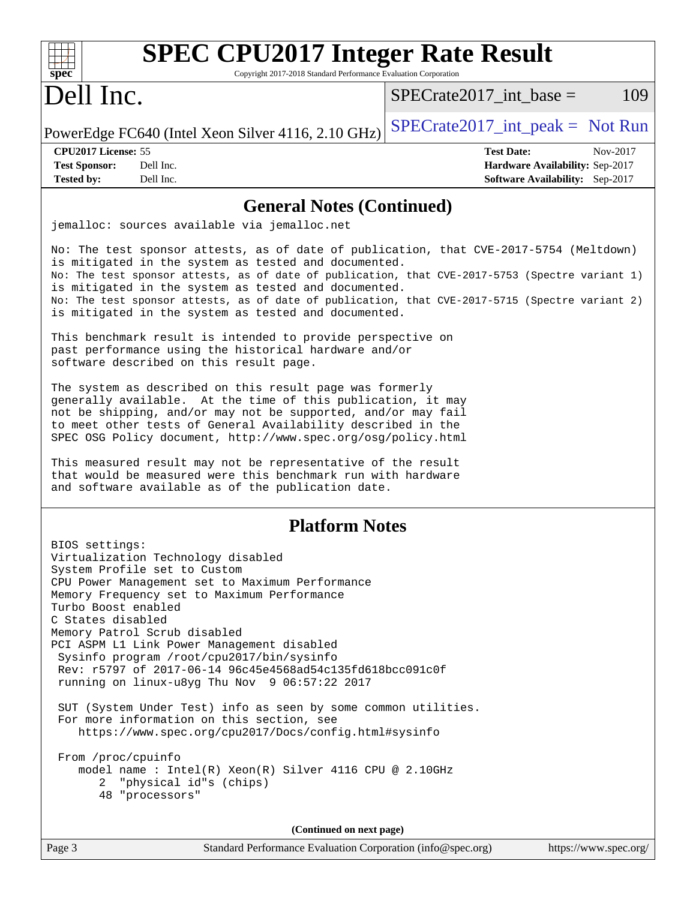| spec <sup>®</sup>                                                                | <b>SPEC CPU2017 Integer Rate Result</b><br>Copyright 2017-2018 Standard Performance Evaluation Corporation                                                                                                                                                                                                                                                                                                                                                                                                                                                                                                                                                                                                                                                                                                                                                                                                                                                                                                                                                                                                                                                  |                                     |                                                                                |
|----------------------------------------------------------------------------------|-------------------------------------------------------------------------------------------------------------------------------------------------------------------------------------------------------------------------------------------------------------------------------------------------------------------------------------------------------------------------------------------------------------------------------------------------------------------------------------------------------------------------------------------------------------------------------------------------------------------------------------------------------------------------------------------------------------------------------------------------------------------------------------------------------------------------------------------------------------------------------------------------------------------------------------------------------------------------------------------------------------------------------------------------------------------------------------------------------------------------------------------------------------|-------------------------------------|--------------------------------------------------------------------------------|
| Dell Inc.                                                                        |                                                                                                                                                                                                                                                                                                                                                                                                                                                                                                                                                                                                                                                                                                                                                                                                                                                                                                                                                                                                                                                                                                                                                             | $SPECrate2017\_int\_base =$         | 109                                                                            |
|                                                                                  | PowerEdge FC640 (Intel Xeon Silver 4116, 2.10 GHz)                                                                                                                                                                                                                                                                                                                                                                                                                                                                                                                                                                                                                                                                                                                                                                                                                                                                                                                                                                                                                                                                                                          | $SPECrate2017\_int\_peak = Not Run$ |                                                                                |
| CPU2017 License: 55<br><b>Test Sponsor:</b><br><b>Tested by:</b>                 | Dell Inc.<br>Dell Inc.                                                                                                                                                                                                                                                                                                                                                                                                                                                                                                                                                                                                                                                                                                                                                                                                                                                                                                                                                                                                                                                                                                                                      | <b>Test Date:</b>                   | Nov-2017<br>Hardware Availability: Sep-2017<br>Software Availability: Sep-2017 |
|                                                                                  | <b>General Notes (Continued)</b>                                                                                                                                                                                                                                                                                                                                                                                                                                                                                                                                                                                                                                                                                                                                                                                                                                                                                                                                                                                                                                                                                                                            |                                     |                                                                                |
|                                                                                  | jemalloc: sources available via jemalloc.net                                                                                                                                                                                                                                                                                                                                                                                                                                                                                                                                                                                                                                                                                                                                                                                                                                                                                                                                                                                                                                                                                                                |                                     |                                                                                |
|                                                                                  | No: The test sponsor attests, as of date of publication, that CVE-2017-5754 (Meltdown)<br>is mitigated in the system as tested and documented.<br>No: The test sponsor attests, as of date of publication, that CVE-2017-5753 (Spectre variant 1)<br>is mitigated in the system as tested and documented.<br>No: The test sponsor attests, as of date of publication, that CVE-2017-5715 (Spectre variant 2)<br>is mitigated in the system as tested and documented.<br>This benchmark result is intended to provide perspective on<br>past performance using the historical hardware and/or<br>software described on this result page.<br>The system as described on this result page was formerly<br>generally available. At the time of this publication, it may<br>not be shipping, and/or may not be supported, and/or may fail<br>to meet other tests of General Availability described in the<br>SPEC OSG Policy document, http://www.spec.org/osg/policy.html<br>This measured result may not be representative of the result<br>that would be measured were this benchmark run with hardware<br>and software available as of the publication date. |                                     |                                                                                |
|                                                                                  | <b>Platform Notes</b>                                                                                                                                                                                                                                                                                                                                                                                                                                                                                                                                                                                                                                                                                                                                                                                                                                                                                                                                                                                                                                                                                                                                       |                                     |                                                                                |
| BIOS settings:<br>Turbo Boost enabled<br>C States disabled<br>From /proc/cpuinfo | Virtualization Technology disabled<br>System Profile set to Custom<br>CPU Power Management set to Maximum Performance<br>Memory Frequency set to Maximum Performance<br>Memory Patrol Scrub disabled<br>PCI ASPM L1 Link Power Management disabled<br>Sysinfo program /root/cpu2017/bin/sysinfo<br>Rev: r5797 of 2017-06-14 96c45e4568ad54c135fd618bcc091c0f<br>running on $linux-u8yg$ Thu Nov $9\ 06:57:22\ 2017$<br>SUT (System Under Test) info as seen by some common utilities.<br>For more information on this section, see<br>https://www.spec.org/cpu2017/Docs/config.html#sysinfo<br>model name: $Intel(R)$ Xeon(R) Silver 4116 CPU @ 2.10GHz<br>2 "physical id"s (chips)<br>48 "processors"                                                                                                                                                                                                                                                                                                                                                                                                                                                      |                                     |                                                                                |
|                                                                                  | (Continued on next page)                                                                                                                                                                                                                                                                                                                                                                                                                                                                                                                                                                                                                                                                                                                                                                                                                                                                                                                                                                                                                                                                                                                                    |                                     |                                                                                |
| Page 3                                                                           | Standard Performance Evaluation Corporation (info@spec.org)                                                                                                                                                                                                                                                                                                                                                                                                                                                                                                                                                                                                                                                                                                                                                                                                                                                                                                                                                                                                                                                                                                 |                                     | https://www.spec.org/                                                          |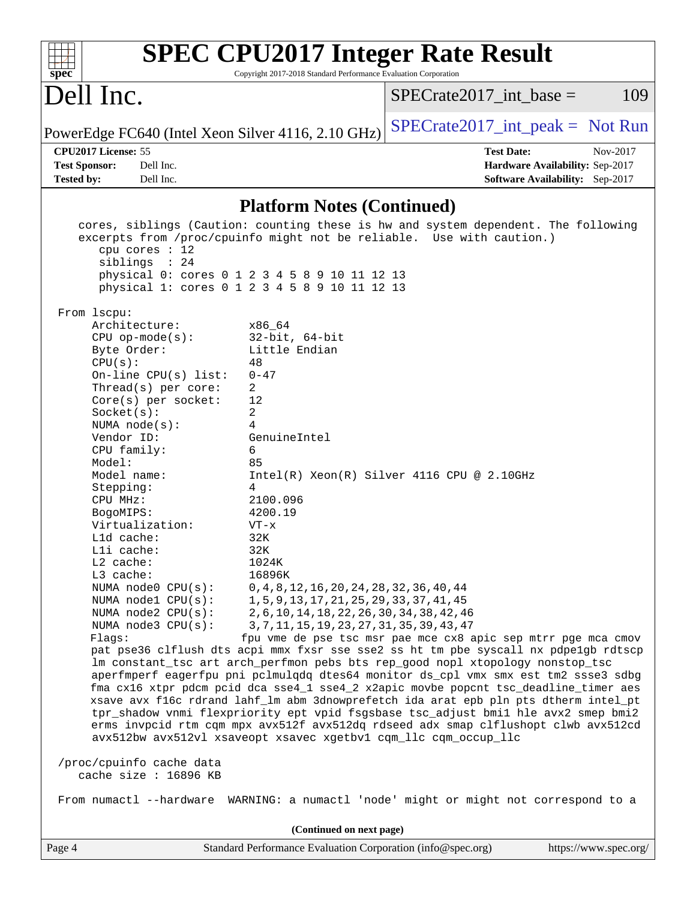| <b>SPEC CPU2017 Integer Rate Result</b><br>Copyright 2017-2018 Standard Performance Evaluation Corporation<br>spec <sup>®</sup>                                                                                                                                                                                                                                                                                                                                                                                                                                                                                                                                                                                                                                                                                                                                                                                                                                                                                                                                                                                                                                                                                                                                                                                                                                                                                                                                                                                                                                                                                                                                                                                                                                                           |                                                                                                               |
|-------------------------------------------------------------------------------------------------------------------------------------------------------------------------------------------------------------------------------------------------------------------------------------------------------------------------------------------------------------------------------------------------------------------------------------------------------------------------------------------------------------------------------------------------------------------------------------------------------------------------------------------------------------------------------------------------------------------------------------------------------------------------------------------------------------------------------------------------------------------------------------------------------------------------------------------------------------------------------------------------------------------------------------------------------------------------------------------------------------------------------------------------------------------------------------------------------------------------------------------------------------------------------------------------------------------------------------------------------------------------------------------------------------------------------------------------------------------------------------------------------------------------------------------------------------------------------------------------------------------------------------------------------------------------------------------------------------------------------------------------------------------------------------------|---------------------------------------------------------------------------------------------------------------|
| Dell Inc.                                                                                                                                                                                                                                                                                                                                                                                                                                                                                                                                                                                                                                                                                                                                                                                                                                                                                                                                                                                                                                                                                                                                                                                                                                                                                                                                                                                                                                                                                                                                                                                                                                                                                                                                                                                 | 109<br>$SPECrate2017\_int\_base =$                                                                            |
| PowerEdge FC640 (Intel Xeon Silver 4116, 2.10 GHz)                                                                                                                                                                                                                                                                                                                                                                                                                                                                                                                                                                                                                                                                                                                                                                                                                                                                                                                                                                                                                                                                                                                                                                                                                                                                                                                                                                                                                                                                                                                                                                                                                                                                                                                                        | $SPECrate2017\_int\_peak = Not Run$                                                                           |
| CPU2017 License: 55<br><b>Test Sponsor:</b><br>Dell Inc.                                                                                                                                                                                                                                                                                                                                                                                                                                                                                                                                                                                                                                                                                                                                                                                                                                                                                                                                                                                                                                                                                                                                                                                                                                                                                                                                                                                                                                                                                                                                                                                                                                                                                                                                  | <b>Test Date:</b><br>Nov-2017<br>Hardware Availability: Sep-2017                                              |
| Dell Inc.<br><b>Tested by:</b>                                                                                                                                                                                                                                                                                                                                                                                                                                                                                                                                                                                                                                                                                                                                                                                                                                                                                                                                                                                                                                                                                                                                                                                                                                                                                                                                                                                                                                                                                                                                                                                                                                                                                                                                                            | <b>Software Availability:</b> Sep-2017                                                                        |
| <b>Platform Notes (Continued)</b>                                                                                                                                                                                                                                                                                                                                                                                                                                                                                                                                                                                                                                                                                                                                                                                                                                                                                                                                                                                                                                                                                                                                                                                                                                                                                                                                                                                                                                                                                                                                                                                                                                                                                                                                                         |                                                                                                               |
| cores, siblings (Caution: counting these is hw and system dependent. The following<br>excerpts from /proc/cpuinfo might not be reliable. Use with caution.)<br>cpu cores : 12<br>siblings : 24<br>physical 0: cores 0 1 2 3 4 5 8 9 10 11 12 13<br>physical 1: cores 0 1 2 3 4 5 8 9 10 11 12 13<br>From 1scpu:<br>Architecture:<br>x86 64<br>$CPU$ op-mode( $s$ ):<br>$32$ -bit, $64$ -bit<br>Byte Order:<br>Little Endian<br>CPU(s):<br>48<br>On-line $CPU(s)$ list:<br>$0 - 47$<br>2<br>Thread(s) per core:<br>Core(s) per socket:<br>12<br>2<br>Socket(s):<br>4<br>NUMA $node(s)$ :<br>Vendor ID:<br>GenuineIntel<br>6<br>CPU family:<br>Model:<br>85<br>Model name:<br>Stepping:<br>4<br>CPU MHz:<br>2100.096<br>BogoMIPS:<br>4200.19<br>Virtualization:<br>$VT - x$<br>L1d cache:<br>32K<br>Lli cache:<br>32K<br>L2 cache:<br>1024K<br>L3 cache:<br>16896K<br>NUMA node0 CPU(s):<br>0, 4, 8, 12, 16, 20, 24, 28, 32, 36, 40, 44<br>NUMA nodel CPU(s):<br>1, 5, 9, 13, 17, 21, 25, 29, 33, 37, 41, 45<br>NUMA node2 CPU(s):<br>2, 6, 10, 14, 18, 22, 26, 30, 34, 38, 42, 46<br>NUMA node3 CPU(s):<br>3, 7, 11, 15, 19, 23, 27, 31, 35, 39, 43, 47<br>Flags:<br>pat pse36 clflush dts acpi mmx fxsr sse sse2 ss ht tm pbe syscall nx pdpelgb rdtscp<br>lm constant_tsc art arch_perfmon pebs bts rep_good nopl xtopology nonstop_tsc<br>aperfmperf eagerfpu pni pclmulqdq dtes64 monitor ds_cpl vmx smx est tm2 ssse3 sdbg<br>fma cx16 xtpr pdcm pcid dca sse4_1 sse4_2 x2apic movbe popcnt tsc_deadline_timer aes<br>xsave avx f16c rdrand lahf_lm abm 3dnowprefetch ida arat epb pln pts dtherm intel_pt<br>tpr_shadow vnmi flexpriority ept vpid fsgsbase tsc_adjust bmil hle avx2 smep bmi2<br>erms invpcid rtm cqm mpx avx512f avx512dq rdseed adx smap clflushopt clwb avx512cd | $Intel(R) Xeon(R) Silver 4116 CPU @ 2.10GHz$<br>fpu vme de pse tsc msr pae mce cx8 apic sep mtrr pge mca cmov |
| avx512bw avx512vl xsaveopt xsavec xgetbvl cqm_llc cqm_occup_llc<br>/proc/cpuinfo cache data                                                                                                                                                                                                                                                                                                                                                                                                                                                                                                                                                                                                                                                                                                                                                                                                                                                                                                                                                                                                                                                                                                                                                                                                                                                                                                                                                                                                                                                                                                                                                                                                                                                                                               |                                                                                                               |
| cache size : 16896 KB<br>From numactl --hardware WARNING: a numactl 'node' might or might not correspond to a                                                                                                                                                                                                                                                                                                                                                                                                                                                                                                                                                                                                                                                                                                                                                                                                                                                                                                                                                                                                                                                                                                                                                                                                                                                                                                                                                                                                                                                                                                                                                                                                                                                                             |                                                                                                               |
| (Continued on next page)                                                                                                                                                                                                                                                                                                                                                                                                                                                                                                                                                                                                                                                                                                                                                                                                                                                                                                                                                                                                                                                                                                                                                                                                                                                                                                                                                                                                                                                                                                                                                                                                                                                                                                                                                                  |                                                                                                               |
| Page 4<br>Standard Performance Evaluation Corporation (info@spec.org)                                                                                                                                                                                                                                                                                                                                                                                                                                                                                                                                                                                                                                                                                                                                                                                                                                                                                                                                                                                                                                                                                                                                                                                                                                                                                                                                                                                                                                                                                                                                                                                                                                                                                                                     | https://www.spec.org/                                                                                         |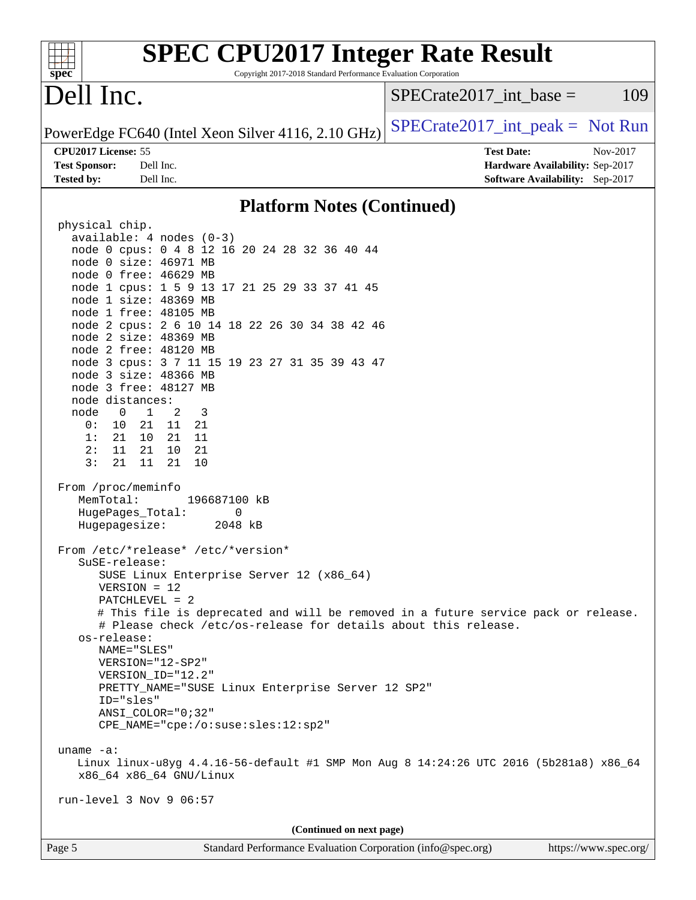| <b>SPEC CPU2017 Integer Rate Result</b><br>Copyright 2017-2018 Standard Performance Evaluation Corporation                                                                                                                                                                                                                                                                                                                                                                                                                                                                                                                                                                                                                                                                                                                                                                                                                                                                                                                                                                                                                                                                                                                                                                                                                                                                                                                                        |                                                                  |
|---------------------------------------------------------------------------------------------------------------------------------------------------------------------------------------------------------------------------------------------------------------------------------------------------------------------------------------------------------------------------------------------------------------------------------------------------------------------------------------------------------------------------------------------------------------------------------------------------------------------------------------------------------------------------------------------------------------------------------------------------------------------------------------------------------------------------------------------------------------------------------------------------------------------------------------------------------------------------------------------------------------------------------------------------------------------------------------------------------------------------------------------------------------------------------------------------------------------------------------------------------------------------------------------------------------------------------------------------------------------------------------------------------------------------------------------------|------------------------------------------------------------------|
| spec <sup>®</sup><br>Dell Inc.                                                                                                                                                                                                                                                                                                                                                                                                                                                                                                                                                                                                                                                                                                                                                                                                                                                                                                                                                                                                                                                                                                                                                                                                                                                                                                                                                                                                                    | $SPECrate2017\_int\_base =$<br>109                               |
| PowerEdge FC640 (Intel Xeon Silver 4116, 2.10 GHz)                                                                                                                                                                                                                                                                                                                                                                                                                                                                                                                                                                                                                                                                                                                                                                                                                                                                                                                                                                                                                                                                                                                                                                                                                                                                                                                                                                                                | $SPECrate2017\_int\_peak = Not Run$                              |
| CPU2017 License: 55<br><b>Test Sponsor:</b><br>Dell Inc.                                                                                                                                                                                                                                                                                                                                                                                                                                                                                                                                                                                                                                                                                                                                                                                                                                                                                                                                                                                                                                                                                                                                                                                                                                                                                                                                                                                          | <b>Test Date:</b><br>Nov-2017<br>Hardware Availability: Sep-2017 |
| Tested by:<br>Dell Inc.                                                                                                                                                                                                                                                                                                                                                                                                                                                                                                                                                                                                                                                                                                                                                                                                                                                                                                                                                                                                                                                                                                                                                                                                                                                                                                                                                                                                                           | Software Availability: Sep-2017                                  |
| <b>Platform Notes (Continued)</b>                                                                                                                                                                                                                                                                                                                                                                                                                                                                                                                                                                                                                                                                                                                                                                                                                                                                                                                                                                                                                                                                                                                                                                                                                                                                                                                                                                                                                 |                                                                  |
| physical chip.<br>available: $4$ nodes $(0-3)$<br>node 0 cpus: 0 4 8 12 16 20 24 28 32 36 40 44<br>node 0 size: 46971 MB<br>node 0 free: 46629 MB<br>node 1 cpus: 1 5 9 13 17 21 25 29 33 37 41 45<br>node 1 size: 48369 MB<br>node 1 free: 48105 MB<br>node 2 cpus: 2 6 10 14 18 22 26 30 34 38 42 46<br>node 2 size: 48369 MB<br>node 2 free: 48120 MB<br>node 3 cpus: 3 7 11 15 19 23 27 31 35 39 43 47<br>node 3 size: 48366 MB<br>node 3 free: 48127 MB<br>node distances:<br>$\overline{0}$<br>$\mathbf{1}$<br>node<br>2<br>3<br>21<br>0 :<br>10<br>21<br>11<br>21<br>10<br>21<br>11<br>1:<br>11<br>21<br>21<br>2:<br>10<br>3:<br>21<br>21<br>11<br>10<br>From /proc/meminfo<br>MemTotal:<br>196687100 kB<br>HugePages_Total:<br>0<br>Hugepagesize:<br>2048 kB<br>From /etc/*release* /etc/*version*<br>$S$ uSE-release:<br>SUSE Linux Enterprise Server 12 (x86_64)<br>$VERSION = 12$<br>PATCHLEVEL = 2<br># This file is deprecated and will be removed in a future service pack or release.<br># Please check /etc/os-release for details about this release.<br>os-release:<br>NAME="SLES"<br>VERSION="12-SP2"<br>VERSION_ID="12.2"<br>PRETTY_NAME="SUSE Linux Enterprise Server 12 SP2"<br>ID="sles"<br>$ANSI$ _COLOR=" $0:32$ "<br>CPE_NAME="cpe:/o:suse:sles:12:sp2"<br>uname $-a$ :<br>Linux linux-u8yg 4.4.16-56-default #1 SMP Mon Aug 8 14:24:26 UTC 2016 (5b281a8) x86_64<br>x86_64 x86_64 GNU/Linux<br>run-level 3 Nov 9 06:57 |                                                                  |
| (Continued on next page)                                                                                                                                                                                                                                                                                                                                                                                                                                                                                                                                                                                                                                                                                                                                                                                                                                                                                                                                                                                                                                                                                                                                                                                                                                                                                                                                                                                                                          |                                                                  |
| Page 5<br>Standard Performance Evaluation Corporation (info@spec.org)                                                                                                                                                                                                                                                                                                                                                                                                                                                                                                                                                                                                                                                                                                                                                                                                                                                                                                                                                                                                                                                                                                                                                                                                                                                                                                                                                                             | https://www.spec.org/                                            |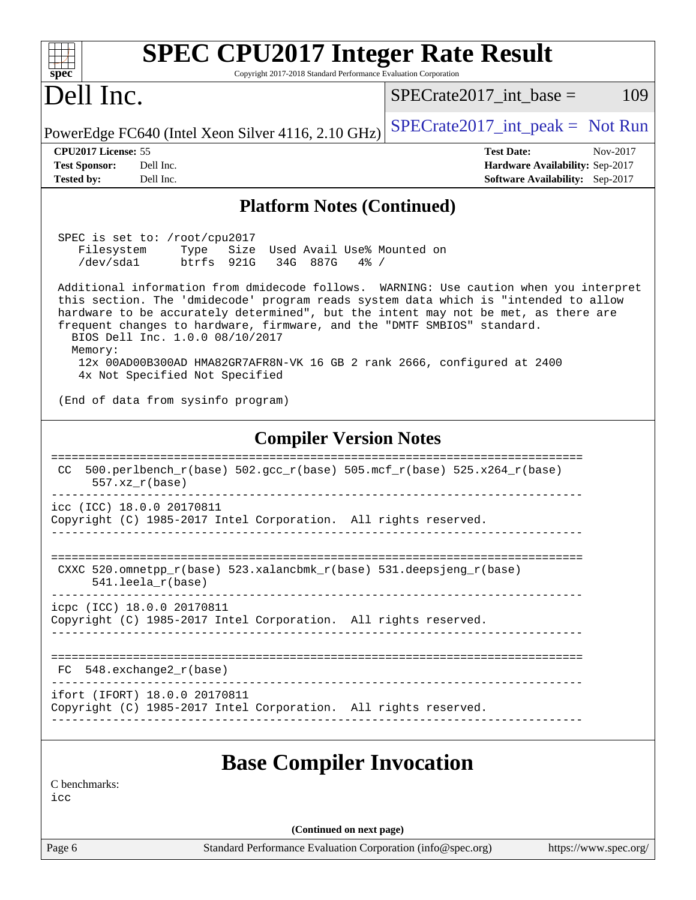| <b>SPEC CPU2017 Integer Rate Result</b><br>$spec^*$<br>Copyright 2017-2018 Standard Performance Evaluation Corporation                                                                                                                                                                                                                                                                                                                                                                                                                                                                                                                                |                                                                                                     |
|-------------------------------------------------------------------------------------------------------------------------------------------------------------------------------------------------------------------------------------------------------------------------------------------------------------------------------------------------------------------------------------------------------------------------------------------------------------------------------------------------------------------------------------------------------------------------------------------------------------------------------------------------------|-----------------------------------------------------------------------------------------------------|
| Dell Inc.                                                                                                                                                                                                                                                                                                                                                                                                                                                                                                                                                                                                                                             | 109<br>$SPECrate2017$ int base =                                                                    |
| PowerEdge FC640 (Intel Xeon Silver 4116, 2.10 GHz)                                                                                                                                                                                                                                                                                                                                                                                                                                                                                                                                                                                                    | $SPECrate2017\_int\_peak = Not Run$                                                                 |
| CPU2017 License: 55<br><b>Test Sponsor:</b><br>Dell Inc.<br><b>Tested by:</b><br>Dell Inc.                                                                                                                                                                                                                                                                                                                                                                                                                                                                                                                                                            | <b>Test Date:</b><br>Nov-2017<br>Hardware Availability: Sep-2017<br>Software Availability: Sep-2017 |
| <b>Platform Notes (Continued)</b>                                                                                                                                                                                                                                                                                                                                                                                                                                                                                                                                                                                                                     |                                                                                                     |
| SPEC is set to: /root/cpu2017<br>Filesystem<br>Size Used Avail Use% Mounted on<br>Type<br>/dev/sda1<br>btrfs 921G<br>34G 887G<br>$4\%$ /<br>Additional information from dmidecode follows. WARNING: Use caution when you interpret<br>this section. The 'dmidecode' program reads system data which is "intended to allow<br>hardware to be accurately determined", but the intent may not be met, as there are<br>frequent changes to hardware, firmware, and the "DMTF SMBIOS" standard.<br>BIOS Dell Inc. 1.0.0 08/10/2017<br>Memory:<br>12x 00AD00B300AD HMA82GR7AFR8N-VK 16 GB 2 rank 2666, configured at 2400<br>4x Not Specified Not Specified |                                                                                                     |
| (End of data from sysinfo program)                                                                                                                                                                                                                                                                                                                                                                                                                                                                                                                                                                                                                    |                                                                                                     |
| <b>Compiler Version Notes</b><br>500.perlbench_r(base) 502.gcc_r(base) 505.mcf_r(base) 525.x264_r(base)<br>CC.                                                                                                                                                                                                                                                                                                                                                                                                                                                                                                                                        |                                                                                                     |
| $557. xz_r(base)$                                                                                                                                                                                                                                                                                                                                                                                                                                                                                                                                                                                                                                     |                                                                                                     |
| icc (ICC) 18.0.0 20170811<br>Copyright (C) 1985-2017 Intel Corporation. All rights reserved.                                                                                                                                                                                                                                                                                                                                                                                                                                                                                                                                                          |                                                                                                     |
| CXXC 520.omnetpp_r(base) 523.xalancbmk_r(base) 531.deepsjeng_r(base)<br>$541.$ leela_r(base)                                                                                                                                                                                                                                                                                                                                                                                                                                                                                                                                                          |                                                                                                     |
| icpc (ICC) 18.0.0 20170811<br>Copyright (C) 1985-2017 Intel Corporation. All rights reserved.                                                                                                                                                                                                                                                                                                                                                                                                                                                                                                                                                         |                                                                                                     |
| $FC$ 548. exchange2 $r(base)$                                                                                                                                                                                                                                                                                                                                                                                                                                                                                                                                                                                                                         |                                                                                                     |
| ifort (IFORT) 18.0.0 20170811<br>Copyright (C) 1985-2017 Intel Corporation. All rights reserved.                                                                                                                                                                                                                                                                                                                                                                                                                                                                                                                                                      |                                                                                                     |
| <b>Base Compiler Invocation</b><br>C benchmarks:<br>icc                                                                                                                                                                                                                                                                                                                                                                                                                                                                                                                                                                                               |                                                                                                     |
| (Continued on next page)                                                                                                                                                                                                                                                                                                                                                                                                                                                                                                                                                                                                                              |                                                                                                     |
| Page 6<br>Standard Performance Evaluation Corporation (info@spec.org)                                                                                                                                                                                                                                                                                                                                                                                                                                                                                                                                                                                 | https://www.spec.org/                                                                               |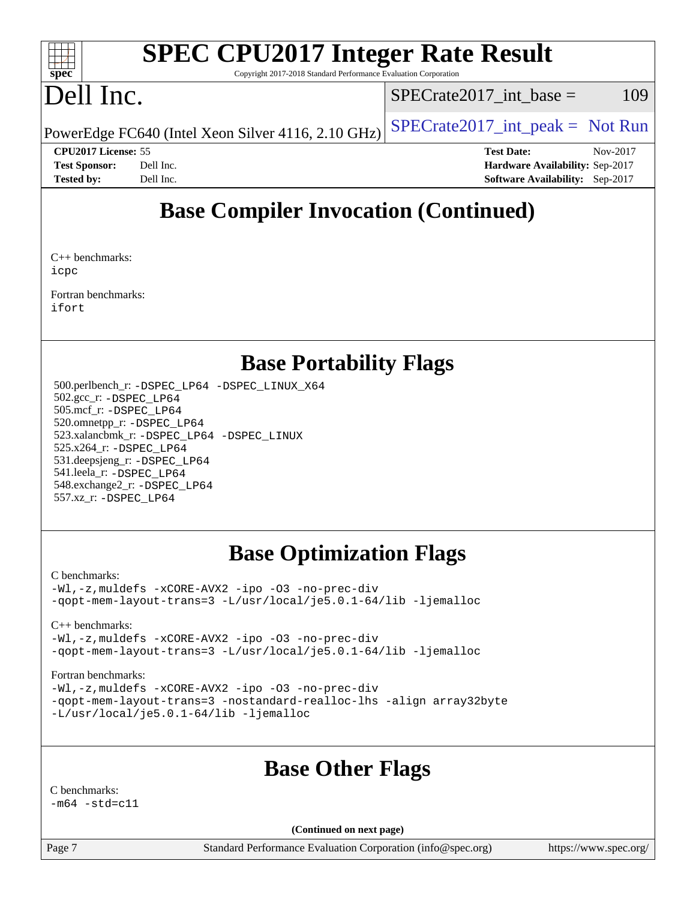#### $+\ +$ **[spec](http://www.spec.org/)**

# **[SPEC CPU2017 Integer Rate Result](http://www.spec.org/auto/cpu2017/Docs/result-fields.html#SPECCPU2017IntegerRateResult)**

Copyright 2017-2018 Standard Performance Evaluation Corporation

## Dell Inc.

 $SPECTate2017\_int\_base = 109$ 

PowerEdge FC640 (Intel Xeon Silver 4116, 2.10 GHz)  $SPECrate2017\_int\_peak = Not Run$ 

**[CPU2017 License:](http://www.spec.org/auto/cpu2017/Docs/result-fields.html#CPU2017License)** 55 **[Test Date:](http://www.spec.org/auto/cpu2017/Docs/result-fields.html#TestDate)** Nov-2017 **[Test Sponsor:](http://www.spec.org/auto/cpu2017/Docs/result-fields.html#TestSponsor)** Dell Inc. **[Hardware Availability:](http://www.spec.org/auto/cpu2017/Docs/result-fields.html#HardwareAvailability)** Sep-2017 **[Tested by:](http://www.spec.org/auto/cpu2017/Docs/result-fields.html#Testedby)** Dell Inc. **[Software Availability:](http://www.spec.org/auto/cpu2017/Docs/result-fields.html#SoftwareAvailability)** Sep-2017

## **[Base Compiler Invocation \(Continued\)](http://www.spec.org/auto/cpu2017/Docs/result-fields.html#BaseCompilerInvocation)**

[C++ benchmarks](http://www.spec.org/auto/cpu2017/Docs/result-fields.html#CXXbenchmarks): [icpc](http://www.spec.org/cpu2017/results/res2018q1/cpu2017-20180122-02923.flags.html#user_CXXbase_intel_icpc_18.0_c510b6838c7f56d33e37e94d029a35b4a7bccf4766a728ee175e80a419847e808290a9b78be685c44ab727ea267ec2f070ec5dc83b407c0218cded6866a35d07)

[Fortran benchmarks:](http://www.spec.org/auto/cpu2017/Docs/result-fields.html#Fortranbenchmarks) [ifort](http://www.spec.org/cpu2017/results/res2018q1/cpu2017-20180122-02923.flags.html#user_FCbase_intel_ifort_18.0_8111460550e3ca792625aed983ce982f94888b8b503583aa7ba2b8303487b4d8a21a13e7191a45c5fd58ff318f48f9492884d4413fa793fd88dd292cad7027ca)

## **[Base Portability Flags](http://www.spec.org/auto/cpu2017/Docs/result-fields.html#BasePortabilityFlags)**

 500.perlbench\_r: [-DSPEC\\_LP64](http://www.spec.org/cpu2017/results/res2018q1/cpu2017-20180122-02923.flags.html#b500.perlbench_r_basePORTABILITY_DSPEC_LP64) [-DSPEC\\_LINUX\\_X64](http://www.spec.org/cpu2017/results/res2018q1/cpu2017-20180122-02923.flags.html#b500.perlbench_r_baseCPORTABILITY_DSPEC_LINUX_X64) 502.gcc\_r: [-DSPEC\\_LP64](http://www.spec.org/cpu2017/results/res2018q1/cpu2017-20180122-02923.flags.html#suite_basePORTABILITY502_gcc_r_DSPEC_LP64) 505.mcf\_r: [-DSPEC\\_LP64](http://www.spec.org/cpu2017/results/res2018q1/cpu2017-20180122-02923.flags.html#suite_basePORTABILITY505_mcf_r_DSPEC_LP64) 520.omnetpp\_r: [-DSPEC\\_LP64](http://www.spec.org/cpu2017/results/res2018q1/cpu2017-20180122-02923.flags.html#suite_basePORTABILITY520_omnetpp_r_DSPEC_LP64) 523.xalancbmk\_r: [-DSPEC\\_LP64](http://www.spec.org/cpu2017/results/res2018q1/cpu2017-20180122-02923.flags.html#suite_basePORTABILITY523_xalancbmk_r_DSPEC_LP64) [-DSPEC\\_LINUX](http://www.spec.org/cpu2017/results/res2018q1/cpu2017-20180122-02923.flags.html#b523.xalancbmk_r_baseCXXPORTABILITY_DSPEC_LINUX) 525.x264\_r: [-DSPEC\\_LP64](http://www.spec.org/cpu2017/results/res2018q1/cpu2017-20180122-02923.flags.html#suite_basePORTABILITY525_x264_r_DSPEC_LP64) 531.deepsjeng\_r: [-DSPEC\\_LP64](http://www.spec.org/cpu2017/results/res2018q1/cpu2017-20180122-02923.flags.html#suite_basePORTABILITY531_deepsjeng_r_DSPEC_LP64) 541.leela\_r: [-DSPEC\\_LP64](http://www.spec.org/cpu2017/results/res2018q1/cpu2017-20180122-02923.flags.html#suite_basePORTABILITY541_leela_r_DSPEC_LP64) 548.exchange2\_r: [-DSPEC\\_LP64](http://www.spec.org/cpu2017/results/res2018q1/cpu2017-20180122-02923.flags.html#suite_basePORTABILITY548_exchange2_r_DSPEC_LP64) 557.xz\_r: [-DSPEC\\_LP64](http://www.spec.org/cpu2017/results/res2018q1/cpu2017-20180122-02923.flags.html#suite_basePORTABILITY557_xz_r_DSPEC_LP64)

## **[Base Optimization Flags](http://www.spec.org/auto/cpu2017/Docs/result-fields.html#BaseOptimizationFlags)**

#### [C benchmarks](http://www.spec.org/auto/cpu2017/Docs/result-fields.html#Cbenchmarks):

[-Wl,-z,muldefs](http://www.spec.org/cpu2017/results/res2018q1/cpu2017-20180122-02923.flags.html#user_CCbase_link_force_multiple1_b4cbdb97b34bdee9ceefcfe54f4c8ea74255f0b02a4b23e853cdb0e18eb4525ac79b5a88067c842dd0ee6996c24547a27a4b99331201badda8798ef8a743f577) [-xCORE-AVX2](http://www.spec.org/cpu2017/results/res2018q1/cpu2017-20180122-02923.flags.html#user_CCbase_f-xCORE-AVX2) [-ipo](http://www.spec.org/cpu2017/results/res2018q1/cpu2017-20180122-02923.flags.html#user_CCbase_f-ipo) [-O3](http://www.spec.org/cpu2017/results/res2018q1/cpu2017-20180122-02923.flags.html#user_CCbase_f-O3) [-no-prec-div](http://www.spec.org/cpu2017/results/res2018q1/cpu2017-20180122-02923.flags.html#user_CCbase_f-no-prec-div) [-qopt-mem-layout-trans=3](http://www.spec.org/cpu2017/results/res2018q1/cpu2017-20180122-02923.flags.html#user_CCbase_f-qopt-mem-layout-trans_de80db37974c74b1f0e20d883f0b675c88c3b01e9d123adea9b28688d64333345fb62bc4a798493513fdb68f60282f9a726aa07f478b2f7113531aecce732043) [-L/usr/local/je5.0.1-64/lib](http://www.spec.org/cpu2017/results/res2018q1/cpu2017-20180122-02923.flags.html#user_CCbase_jemalloc_link_path64_4b10a636b7bce113509b17f3bd0d6226c5fb2346b9178c2d0232c14f04ab830f976640479e5c33dc2bcbbdad86ecfb6634cbbd4418746f06f368b512fced5394) [-ljemalloc](http://www.spec.org/cpu2017/results/res2018q1/cpu2017-20180122-02923.flags.html#user_CCbase_jemalloc_link_lib_d1249b907c500fa1c0672f44f562e3d0f79738ae9e3c4a9c376d49f265a04b9c99b167ecedbf6711b3085be911c67ff61f150a17b3472be731631ba4d0471706)

#### [C++ benchmarks:](http://www.spec.org/auto/cpu2017/Docs/result-fields.html#CXXbenchmarks)

[-Wl,-z,muldefs](http://www.spec.org/cpu2017/results/res2018q1/cpu2017-20180122-02923.flags.html#user_CXXbase_link_force_multiple1_b4cbdb97b34bdee9ceefcfe54f4c8ea74255f0b02a4b23e853cdb0e18eb4525ac79b5a88067c842dd0ee6996c24547a27a4b99331201badda8798ef8a743f577) [-xCORE-AVX2](http://www.spec.org/cpu2017/results/res2018q1/cpu2017-20180122-02923.flags.html#user_CXXbase_f-xCORE-AVX2) [-ipo](http://www.spec.org/cpu2017/results/res2018q1/cpu2017-20180122-02923.flags.html#user_CXXbase_f-ipo) [-O3](http://www.spec.org/cpu2017/results/res2018q1/cpu2017-20180122-02923.flags.html#user_CXXbase_f-O3) [-no-prec-div](http://www.spec.org/cpu2017/results/res2018q1/cpu2017-20180122-02923.flags.html#user_CXXbase_f-no-prec-div) [-qopt-mem-layout-trans=3](http://www.spec.org/cpu2017/results/res2018q1/cpu2017-20180122-02923.flags.html#user_CXXbase_f-qopt-mem-layout-trans_de80db37974c74b1f0e20d883f0b675c88c3b01e9d123adea9b28688d64333345fb62bc4a798493513fdb68f60282f9a726aa07f478b2f7113531aecce732043) [-L/usr/local/je5.0.1-64/lib](http://www.spec.org/cpu2017/results/res2018q1/cpu2017-20180122-02923.flags.html#user_CXXbase_jemalloc_link_path64_4b10a636b7bce113509b17f3bd0d6226c5fb2346b9178c2d0232c14f04ab830f976640479e5c33dc2bcbbdad86ecfb6634cbbd4418746f06f368b512fced5394) [-ljemalloc](http://www.spec.org/cpu2017/results/res2018q1/cpu2017-20180122-02923.flags.html#user_CXXbase_jemalloc_link_lib_d1249b907c500fa1c0672f44f562e3d0f79738ae9e3c4a9c376d49f265a04b9c99b167ecedbf6711b3085be911c67ff61f150a17b3472be731631ba4d0471706)

#### [Fortran benchmarks](http://www.spec.org/auto/cpu2017/Docs/result-fields.html#Fortranbenchmarks):

[-Wl,-z,muldefs](http://www.spec.org/cpu2017/results/res2018q1/cpu2017-20180122-02923.flags.html#user_FCbase_link_force_multiple1_b4cbdb97b34bdee9ceefcfe54f4c8ea74255f0b02a4b23e853cdb0e18eb4525ac79b5a88067c842dd0ee6996c24547a27a4b99331201badda8798ef8a743f577) [-xCORE-AVX2](http://www.spec.org/cpu2017/results/res2018q1/cpu2017-20180122-02923.flags.html#user_FCbase_f-xCORE-AVX2) [-ipo](http://www.spec.org/cpu2017/results/res2018q1/cpu2017-20180122-02923.flags.html#user_FCbase_f-ipo) [-O3](http://www.spec.org/cpu2017/results/res2018q1/cpu2017-20180122-02923.flags.html#user_FCbase_f-O3) [-no-prec-div](http://www.spec.org/cpu2017/results/res2018q1/cpu2017-20180122-02923.flags.html#user_FCbase_f-no-prec-div) [-qopt-mem-layout-trans=3](http://www.spec.org/cpu2017/results/res2018q1/cpu2017-20180122-02923.flags.html#user_FCbase_f-qopt-mem-layout-trans_de80db37974c74b1f0e20d883f0b675c88c3b01e9d123adea9b28688d64333345fb62bc4a798493513fdb68f60282f9a726aa07f478b2f7113531aecce732043) [-nostandard-realloc-lhs](http://www.spec.org/cpu2017/results/res2018q1/cpu2017-20180122-02923.flags.html#user_FCbase_f_2003_std_realloc_82b4557e90729c0f113870c07e44d33d6f5a304b4f63d4c15d2d0f1fab99f5daaed73bdb9275d9ae411527f28b936061aa8b9c8f2d63842963b95c9dd6426b8a) [-align array32byte](http://www.spec.org/cpu2017/results/res2018q1/cpu2017-20180122-02923.flags.html#user_FCbase_align_array32byte_b982fe038af199962ba9a80c053b8342c548c85b40b8e86eb3cc33dee0d7986a4af373ac2d51c3f7cf710a18d62fdce2948f201cd044323541f22fc0fffc51b6) [-L/usr/local/je5.0.1-64/lib](http://www.spec.org/cpu2017/results/res2018q1/cpu2017-20180122-02923.flags.html#user_FCbase_jemalloc_link_path64_4b10a636b7bce113509b17f3bd0d6226c5fb2346b9178c2d0232c14f04ab830f976640479e5c33dc2bcbbdad86ecfb6634cbbd4418746f06f368b512fced5394) [-ljemalloc](http://www.spec.org/cpu2017/results/res2018q1/cpu2017-20180122-02923.flags.html#user_FCbase_jemalloc_link_lib_d1249b907c500fa1c0672f44f562e3d0f79738ae9e3c4a9c376d49f265a04b9c99b167ecedbf6711b3085be911c67ff61f150a17b3472be731631ba4d0471706)

## **[Base Other Flags](http://www.spec.org/auto/cpu2017/Docs/result-fields.html#BaseOtherFlags)**

[C benchmarks:](http://www.spec.org/auto/cpu2017/Docs/result-fields.html#Cbenchmarks)  $-m64 - std = c11$  $-m64 - std = c11$ 

**(Continued on next page)**

Page 7 Standard Performance Evaluation Corporation [\(info@spec.org\)](mailto:info@spec.org) <https://www.spec.org/>